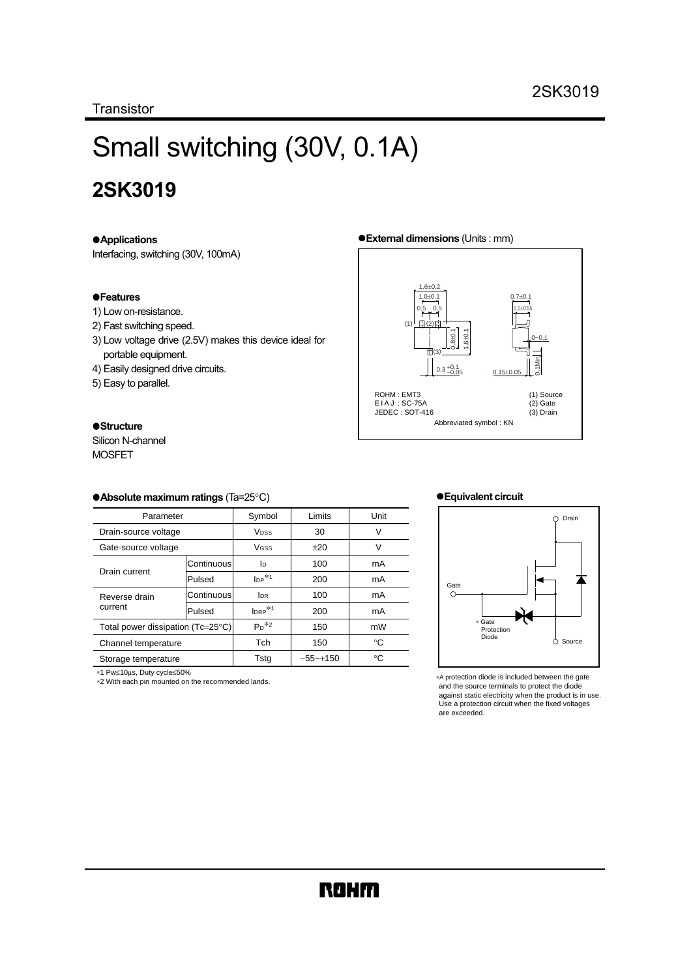**Transistor** 

# Small switching (30V, 0.1A)

# **2SK3019**

#### !**Applications**

Interfacing, switching (30V, 100mA)

#### !**Features**

- 1) Low on-resistance.
- 2) Fast switching speed.
- 3) Low voltage drive (2.5V) makes this device ideal for portable equipment.
- 4) Easily designed drive circuits.
- 5) Easy to parallel.

#### $\bullet$ **Structure**

Silicon N-channel MOSFET

#### !**Absolute maximum ratings** (Ta=25°C)

| Parameter                         |            | Symbol                 | Limits      | Unit |
|-----------------------------------|------------|------------------------|-------------|------|
| Drain-source voltage              |            | <b>V<sub>DSS</sub></b> | 30          | V    |
| Gate-source voltage               |            | <b>V<sub>GSS</sub></b> | $+20$       | V    |
| Drain current                     | Continuous | <b>l</b> <sub>D</sub>  | 100         | mA   |
|                                   | Pulsed     | $_{\text{DP}}*1$       | 200         | mA   |
| Reverse drain<br>current          | Continuous | <b>IDR</b>             | 100         | mA   |
|                                   | Pulsed     | $Iner*1$               | 200         | mA   |
| Total power dissipation (Tc=25°C) |            | $Pn^{*2}$              | 150         | mW   |
| Channel temperature               |            | Tch                    | 150         | °C   |
| Storage temperature               |            | Tsta                   | $-55$ ~+150 | °C   |

∗1 Pw≤10µs, Duty cycle≤50%

∗2 With each pin mounted on the recommended lands.

#### !**External dimensions** (Units : mm)



#### !**Equivalent circuit**



∗A protection diode is included between the gate and the source terminals to protect the diode against static electricity when the product is in use. Use a protection circuit when the fixed voltages are exceeded.

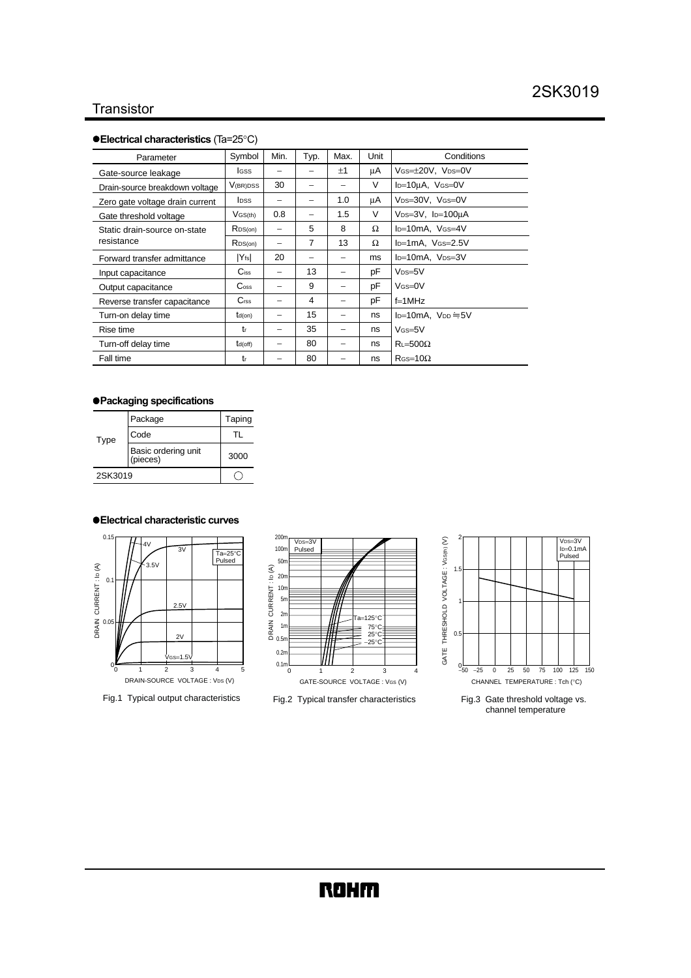## **Transistor**

#### !**Electrical characteristics** (Ta=25°C)

| Parameter                                  | Symbol                      | Min. | Typ. | Max.                     | Unit | Conditions                                 |
|--------------------------------------------|-----------------------------|------|------|--------------------------|------|--------------------------------------------|
| Gate-source leakage                        | <b>I</b> GSS                | -    |      | ±1                       | μA   | VGS=±20V, VDS=0V                           |
| Drain-source breakdown voltage             | V(BR)DSS                    | 30   |      | -                        | V    | $I_D=10\mu A$ , $V$ GS=0V                  |
| Zero gate voltage drain current            | <b>l</b> pss                |      |      | 1.0                      | μA   | V <sub>DS</sub> =30V, V <sub>GS</sub> =0V  |
| Gate threshold voltage                     | $V$ GS(th)                  | 0.8  |      | 1.5                      | V    | V <sub>DS</sub> =3V, I <sub>D</sub> =100µA |
| Static drain-source on-state<br>resistance | R <sub>DS(on)</sub>         | -    | 5    | 8                        | Ω    | I <sub>D</sub> =10mA, V <sub>GS</sub> =4V  |
|                                            | RDS(on)                     | -    | 7    | 13                       | Ω    | l <sub>D</sub> =1mA, V <sub>GS</sub> =2.5V |
| Forward transfer admittance                | $ Y_{fs} $                  | 20   |      | -                        | ms   | I <sub>D</sub> =10mA, V <sub>DS</sub> =3V  |
| Input capacitance                          | $\mathbf{C}$ iss            | -    | 13   | $\overline{\phantom{0}}$ | pF   | $V$ <sub>DS=5</sub> $V$                    |
| Output capacitance                         | $\mathrm{C}_{\mathrm{oss}}$ | -    | 9    | -                        | pF   | $V$ $(s=0V)$                               |
| Reverse transfer capacitance               | C <sub>rss</sub>            | -    | 4    | -                        | pF   | $f=1MHz$                                   |
| Turn-on delay time                         | $td($ on $)$                | -    | 15   | -                        | ns   | $I_{D}=10mA.$ $V_{DD}=5V$                  |
| Rise time                                  | tr                          |      | 35   |                          | ns   | $V$ <sub>GS=5</sub> $V$                    |
| Turn-off delay time                        | $t_{d(off)}$                |      | 80   |                          | ns   | $R = 500\Omega$                            |
| Fall time                                  | tr                          |      | 80   |                          | ns   | $R$ GS=10 $\Omega$                         |

#### !**Packaging specifications**

| Type    | Package                         | Taping |
|---------|---------------------------------|--------|
|         | Code                            |        |
|         | Basic ordering unit<br>(pieces) | 3000   |
| 2SK3019 |                                 |        |

#### !**Electrical characteristic curves**



Fig.1 Typical output characteristics







Fig.3 Gate threshold voltage vs. channel temperature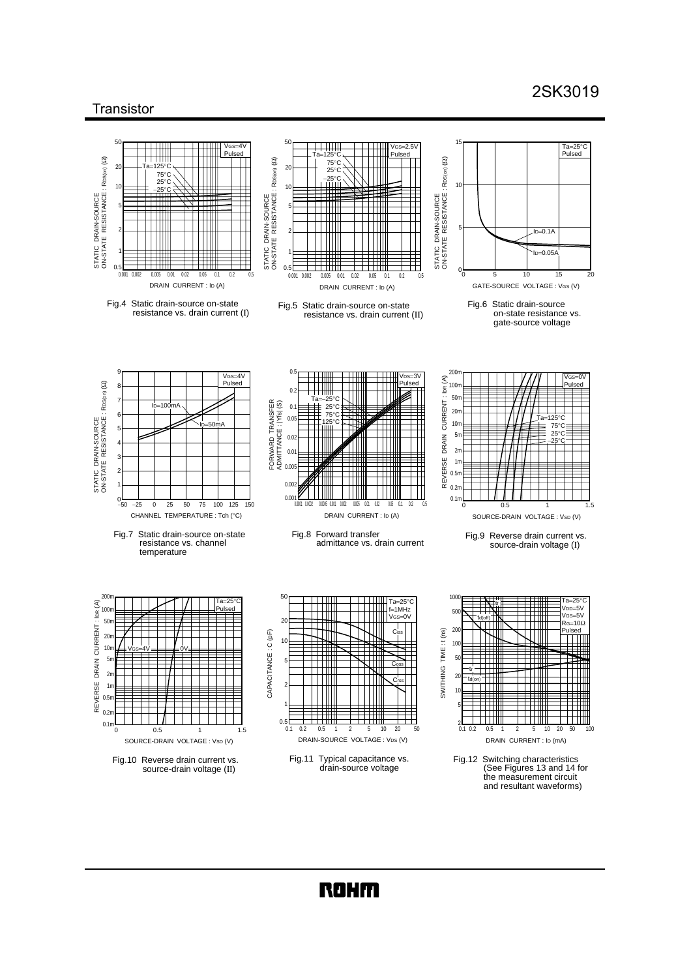# 2SK3019

### **Transistor**



**ROHM**